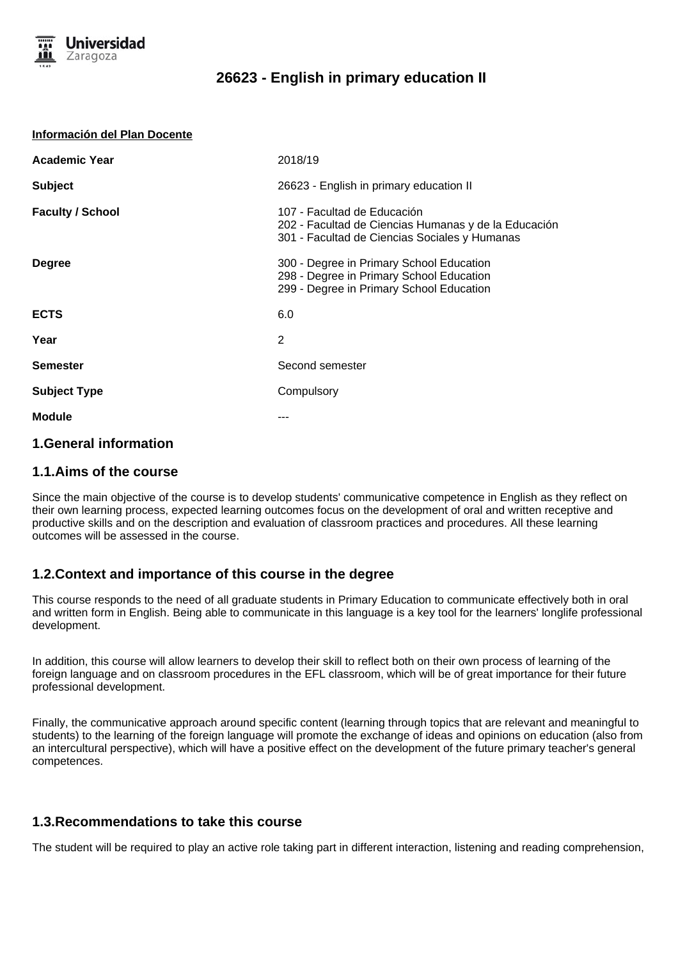

#### **Información del Plan Docente**

| <b>Academic Year</b>    | 2018/19                                                                                                                              |
|-------------------------|--------------------------------------------------------------------------------------------------------------------------------------|
| <b>Subject</b>          | 26623 - English in primary education II                                                                                              |
| <b>Faculty / School</b> | 107 - Facultad de Educación<br>202 - Facultad de Ciencias Humanas y de la Educación<br>301 - Facultad de Ciencias Sociales y Humanas |
| <b>Degree</b>           | 300 - Degree in Primary School Education<br>298 - Degree in Primary School Education<br>299 - Degree in Primary School Education     |
| <b>ECTS</b>             | 6.0                                                                                                                                  |
| Year                    | 2                                                                                                                                    |
| <b>Semester</b>         | Second semester                                                                                                                      |
| <b>Subject Type</b>     | Compulsory                                                                                                                           |
| <b>Module</b>           |                                                                                                                                      |
|                         |                                                                                                                                      |

# **1.General information**

## **1.1.Aims of the course**

Since the main objective of the course is to develop students' communicative competence in English as they reflect on their own learning process, expected learning outcomes focus on the development of oral and written receptive and productive skills and on the description and evaluation of classroom practices and procedures. All these learning outcomes will be assessed in the course.

## **1.2.Context and importance of this course in the degree**

This course responds to the need of all graduate students in Primary Education to communicate effectively both in oral and written form in English. Being able to communicate in this language is a key tool for the learners' longlife professional development.

In addition, this course will allow learners to develop their skill to reflect both on their own process of learning of the foreign language and on classroom procedures in the EFL classroom, which will be of great importance for their future professional development.

Finally, the communicative approach around specific content (learning through topics that are relevant and meaningful to students) to the learning of the foreign language will promote the exchange of ideas and opinions on education (also from an intercultural perspective), which will have a positive effect on the development of the future primary teacher's general competences.

### **1.3.Recommendations to take this course**

The student will be required to play an active role taking part in different interaction, listening and reading comprehension,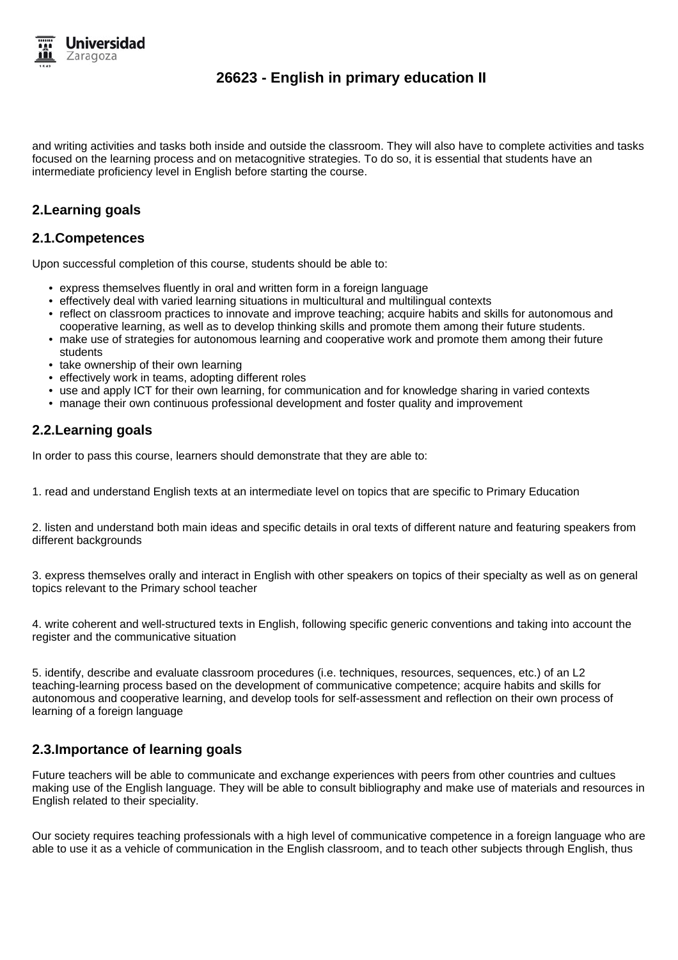

and writing activities and tasks both inside and outside the classroom. They will also have to complete activities and tasks focused on the learning process and on metacognitive strategies. To do so, it is essential that students have an intermediate proficiency level in English before starting the course.

## **2.Learning goals**

### **2.1.Competences**

Upon successful completion of this course, students should be able to:

- express themselves fluently in oral and written form in a foreign language
- effectively deal with varied learning situations in multicultural and multilingual contexts
- reflect on classroom practices to innovate and improve teaching; acquire habits and skills for autonomous and cooperative learning, as well as to develop thinking skills and promote them among their future students.
- make use of strategies for autonomous learning and cooperative work and promote them among their future students
- take ownership of their own learning
- effectively work in teams, adopting different roles
- use and apply ICT for their own learning, for communication and for knowledge sharing in varied contexts
- manage their own continuous professional development and foster quality and improvement

## **2.2.Learning goals**

In order to pass this course, learners should demonstrate that they are able to:

1. read and understand English texts at an intermediate level on topics that are specific to Primary Education

2. listen and understand both main ideas and specific details in oral texts of different nature and featuring speakers from different backgrounds

3. express themselves orally and interact in English with other speakers on topics of their specialty as well as on general topics relevant to the Primary school teacher

4. write coherent and well-structured texts in English, following specific generic conventions and taking into account the register and the communicative situation

5. identify, describe and evaluate classroom procedures (i.e. techniques, resources, sequences, etc.) of an L2 teaching-learning process based on the development of communicative competence; acquire habits and skills for autonomous and cooperative learning, and develop tools for self-assessment and reflection on their own process of learning of a foreign language

## **2.3.Importance of learning goals**

Future teachers will be able to communicate and exchange experiences with peers from other countries and cultues making use of the English language. They will be able to consult bibliography and make use of materials and resources in English related to their speciality.

Our society requires teaching professionals with a high level of communicative competence in a foreign language who are able to use it as a vehicle of communication in the English classroom, and to teach other subjects through English, thus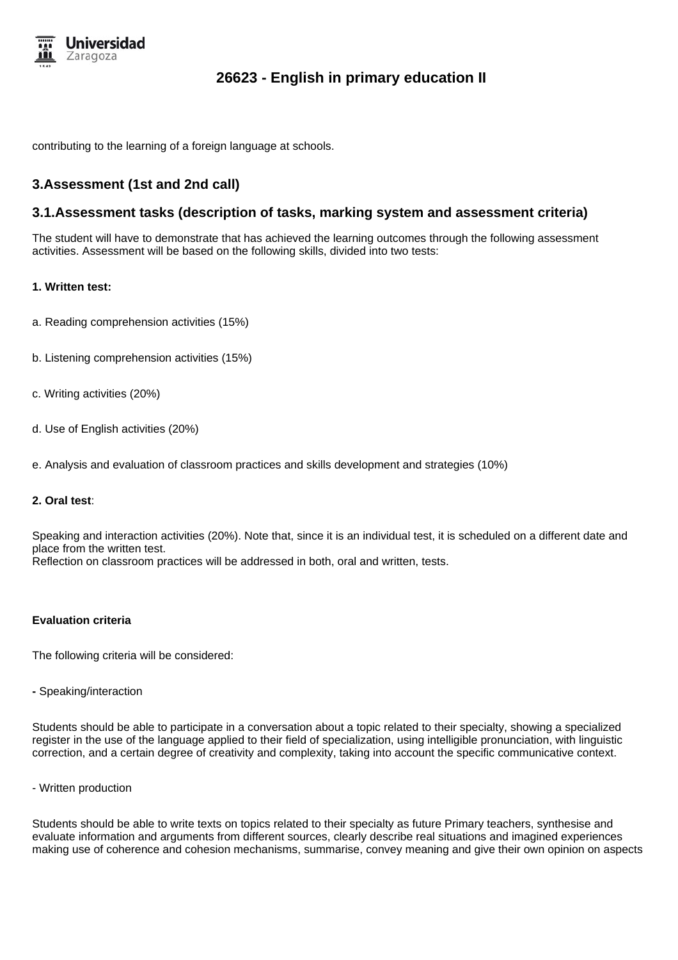

contributing to the learning of a foreign language at schools.

## **3.Assessment (1st and 2nd call)**

### **3.1.Assessment tasks (description of tasks, marking system and assessment criteria)**

The student will have to demonstrate that has achieved the learning outcomes through the following assessment activities. Assessment will be based on the following skills, divided into two tests:

#### **1. Written test:**

- a. Reading comprehension activities (15%)
- b. Listening comprehension activities (15%)
- c. Writing activities (20%)
- d. Use of English activities (20%)
- e. Analysis and evaluation of classroom practices and skills development and strategies (10%)

#### **2. Oral test**:

Speaking and interaction activities (20%). Note that, since it is an individual test, it is scheduled on a different date and place from the written test. Reflection on classroom practices will be addressed in both, oral and written, tests.

#### **Evaluation criteria**

The following criteria will be considered:

**-** Speaking/interaction

Students should be able to participate in a conversation about a topic related to their specialty, showing a specialized register in the use of the language applied to their field of specialization, using intelligible pronunciation, with linguistic correction, and a certain degree of creativity and complexity, taking into account the specific communicative context.

- Written production

Students should be able to write texts on topics related to their specialty as future Primary teachers, synthesise and evaluate information and arguments from different sources, clearly describe real situations and imagined experiences making use of coherence and cohesion mechanisms, summarise, convey meaning and give their own opinion on aspects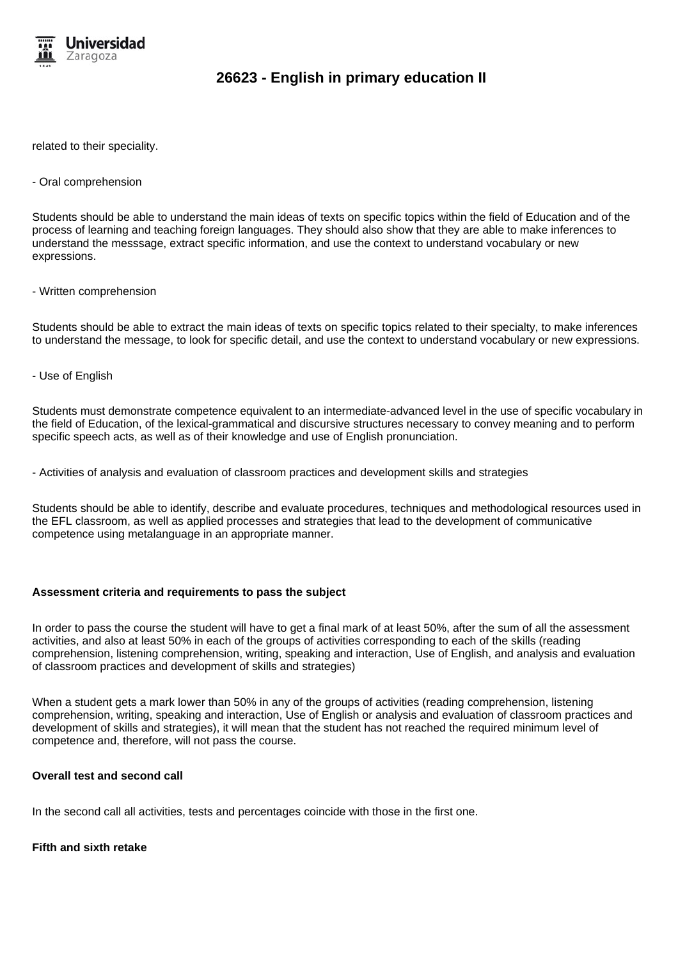

related to their speciality.

#### - Oral comprehension

Students should be able to understand the main ideas of texts on specific topics within the field of Education and of the process of learning and teaching foreign languages. They should also show that they are able to make inferences to understand the messsage, extract specific information, and use the context to understand vocabulary or new expressions.

#### - Written comprehension

Students should be able to extract the main ideas of texts on specific topics related to their specialty, to make inferences to understand the message, to look for specific detail, and use the context to understand vocabulary or new expressions.

#### - Use of English

Students must demonstrate competence equivalent to an intermediate-advanced level in the use of specific vocabulary in the field of Education, of the lexical-grammatical and discursive structures necessary to convey meaning and to perform specific speech acts, as well as of their knowledge and use of English pronunciation.

- Activities of analysis and evaluation of classroom practices and development skills and strategies

Students should be able to identify, describe and evaluate procedures, techniques and methodological resources used in the EFL classroom, as well as applied processes and strategies that lead to the development of communicative competence using metalanguage in an appropriate manner.

#### **Assessment criteria and requirements to pass the subject**

In order to pass the course the student will have to get a final mark of at least 50%, after the sum of all the assessment activities, and also at least 50% in each of the groups of activities corresponding to each of the skills (reading comprehension, listening comprehension, writing, speaking and interaction, Use of English, and analysis and evaluation of classroom practices and development of skills and strategies)

When a student gets a mark lower than 50% in any of the groups of activities (reading comprehension, listening comprehension, writing, speaking and interaction, Use of English or analysis and evaluation of classroom practices and development of skills and strategies), it will mean that the student has not reached the required minimum level of competence and, therefore, will not pass the course.

#### **Overall test and second call**

In the second call all activities, tests and percentages coincide with those in the first one.

#### **Fifth and sixth retake**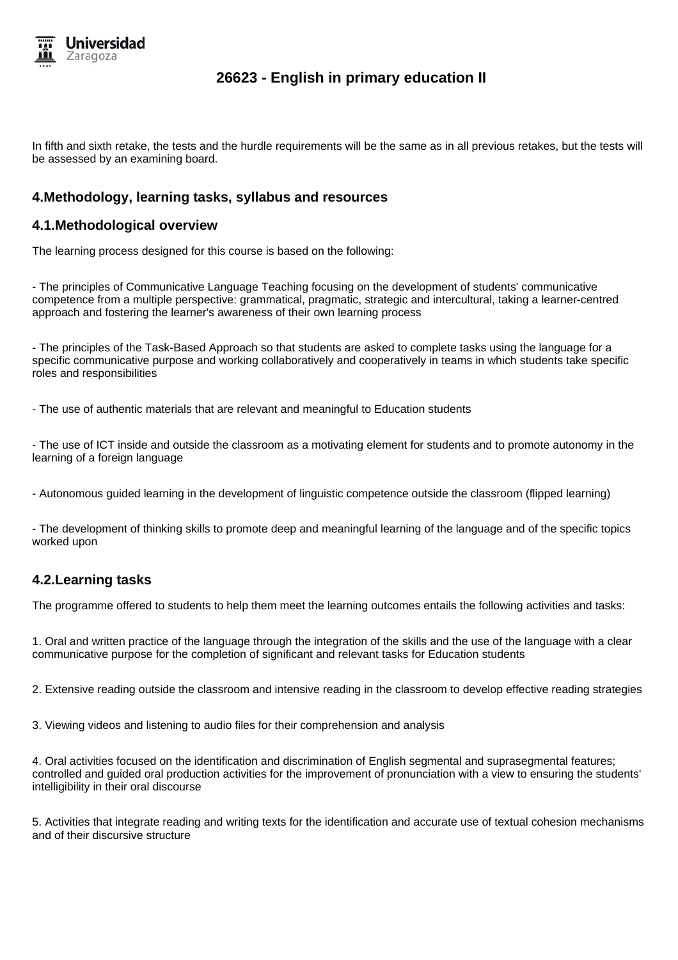

In fifth and sixth retake, the tests and the hurdle requirements will be the same as in all previous retakes, but the tests will be assessed by an examining board.

## **4.Methodology, learning tasks, syllabus and resources**

## **4.1.Methodological overview**

The learning process designed for this course is based on the following:

- The principles of Communicative Language Teaching focusing on the development of students' communicative competence from a multiple perspective: grammatical, pragmatic, strategic and intercultural, taking a learner-centred approach and fostering the learner's awareness of their own learning process

- The principles of the Task-Based Approach so that students are asked to complete tasks using the language for a specific communicative purpose and working collaboratively and cooperatively in teams in which students take specific roles and responsibilities

- The use of authentic materials that are relevant and meaningful to Education students

- The use of ICT inside and outside the classroom as a motivating element for students and to promote autonomy in the learning of a foreign language

- Autonomous guided learning in the development of linguistic competence outside the classroom (flipped learning)

- The development of thinking skills to promote deep and meaningful learning of the language and of the specific topics worked upon

## **4.2.Learning tasks**

The programme offered to students to help them meet the learning outcomes entails the following activities and tasks:

1. Oral and written practice of the language through the integration of the skills and the use of the language with a clear communicative purpose for the completion of significant and relevant tasks for Education students

2. Extensive reading outside the classroom and intensive reading in the classroom to develop effective reading strategies

3. Viewing videos and listening to audio files for their comprehension and analysis

4. Oral activities focused on the identification and discrimination of English segmental and suprasegmental features; controlled and guided oral production activities for the improvement of pronunciation with a view to ensuring the students' intelligibility in their oral discourse

5. Activities that integrate reading and writing texts for the identification and accurate use of textual cohesion mechanisms and of their discursive structure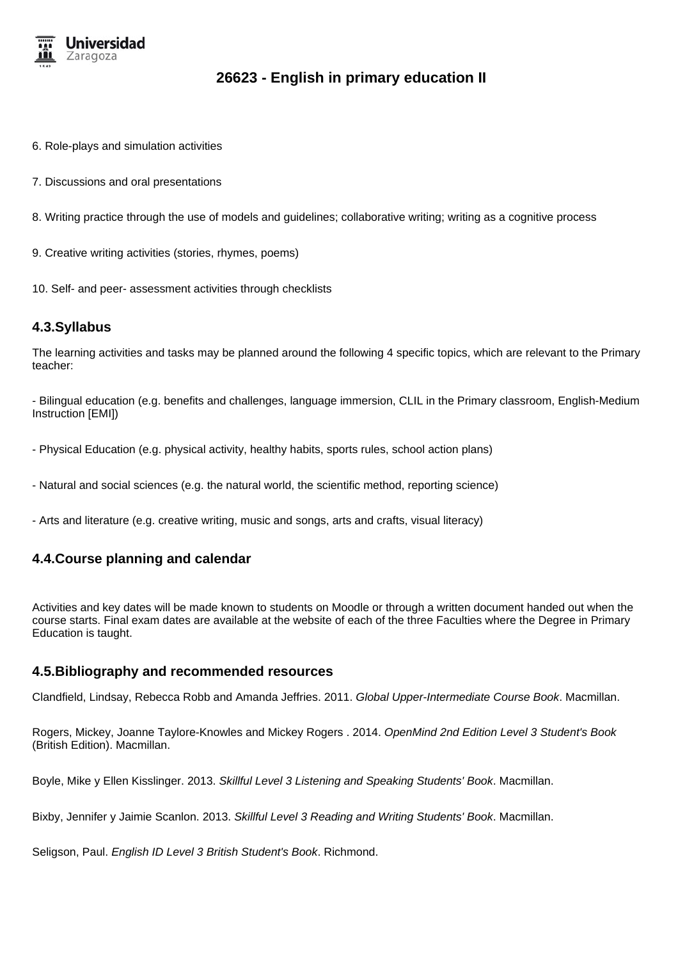

- 6. Role-plays and simulation activities
- 7. Discussions and oral presentations
- 8. Writing practice through the use of models and guidelines; collaborative writing; writing as a cognitive process
- 9. Creative writing activities (stories, rhymes, poems)
- 10. Self- and peer- assessment activities through checklists

### **4.3.Syllabus**

The learning activities and tasks may be planned around the following 4 specific topics, which are relevant to the Primary teacher:

- Bilingual education (e.g. benefits and challenges, language immersion, CLIL in the Primary classroom, English-Medium Instruction [EMI])

- Physical Education (e.g. physical activity, healthy habits, sports rules, school action plans)
- Natural and social sciences (e.g. the natural world, the scientific method, reporting science)
- Arts and literature (e.g. creative writing, music and songs, arts and crafts, visual literacy)

## **4.4.Course planning and calendar**

Activities and key dates will be made known to students on Moodle or through a written document handed out when the course starts. Final exam dates are available at the website of each of the three Faculties where the Degree in Primary Education is taught.

### **4.5.Bibliography and recommended resources**

Clandfield, Lindsay, Rebecca Robb and Amanda Jeffries. 2011. Global Upper-Intermediate Course Book. Macmillan.

Rogers, Mickey, Joanne Taylore-Knowles and Mickey Rogers, 2014. OpenMind 2nd Edition Level 3 Student's Book (British Edition). Macmillan.

Boyle, Mike y Ellen Kisslinger. 2013. Skillful Level 3 Listening and Speaking Students' Book. Macmillan.

Bixby, Jennifer y Jaimie Scanlon. 2013. Skillful Level 3 Reading and Writing Students' Book. Macmillan.

Seligson, Paul. English ID Level 3 British Student's Book. Richmond.